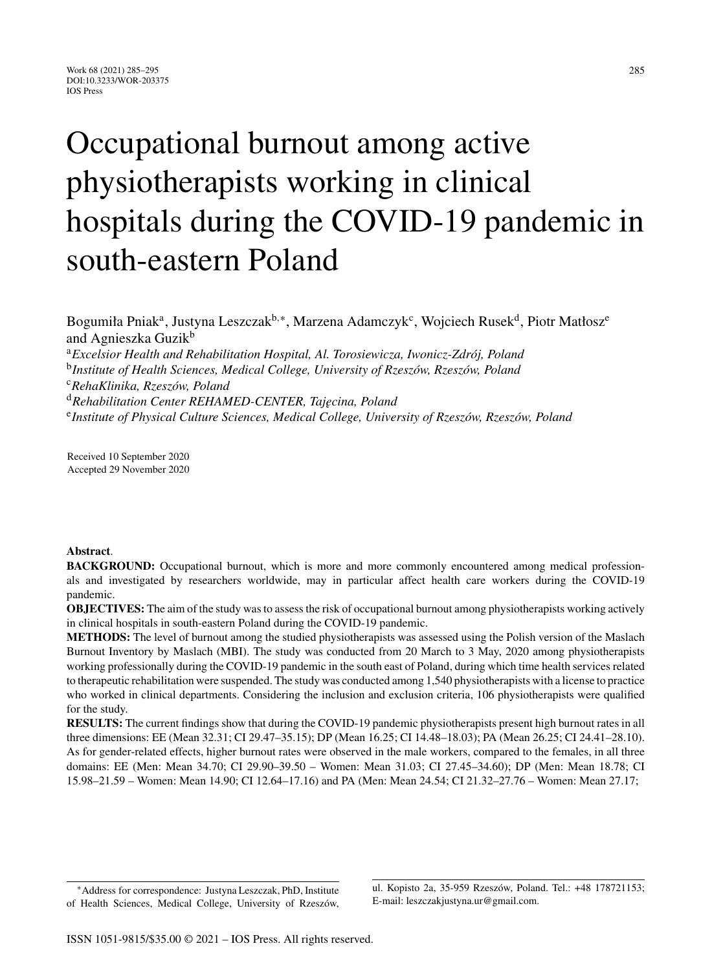# Occupational burnout among active physiotherapists working in clinical hospitals during the COVID-19 pandemic in south-eastern Poland

Bogumiła Pniak<sup>a</sup>, Justyna Leszczak<sup>b,∗</sup>, Marzena Adamczyk<sup>c</sup>, Wojciech Rusek<sup>d</sup>, Piotr Matłosz<sup>e</sup> and Agnieszka Guzik<sup>b</sup> <sup>a</sup> Excelsior Health and Rehabilitation Hospital, Al. Torosiewicza, Iwonicz-Zdrój, Poland

<sup>b</sup>Institute of Health Sciences, Medical College, University of Rzeszów, Rzeszów, Poland

<sup>c</sup>*RehaKlinika, Rzesz ´ow, Poland*

<sup>d</sup>*Rehabilitation Center REHAMED-CENTER, Taj˛ecina, Poland*

<sup>e</sup>Institute of Physical Culture Sciences, Medical College, University of Rzeszów, Rzeszów, Poland

Received 10 September 2020 Accepted 29 November 2020

#### **Abstract**.

**BACKGROUND:** Occupational burnout, which is more and more commonly encountered among medical professionals and investigated by researchers worldwide, may in particular affect health care workers during the COVID-19 pandemic.

**OBJECTIVES:** The aim of the study was to assess the risk of occupational burnout among physiotherapists working actively in clinical hospitals in south-eastern Poland during the COVID-19 pandemic.

**METHODS:** The level of burnout among the studied physiotherapists was assessed using the Polish version of the Maslach Burnout Inventory by Maslach (MBI). The study was conducted from 20 March to 3 May, 2020 among physiotherapists working professionally during the COVID-19 pandemic in the south east of Poland, during which time health services related to therapeutic rehabilitation were suspended. The study was conducted among 1,540 physiotherapists with a license to practice who worked in clinical departments. Considering the inclusion and exclusion criteria, 106 physiotherapists were qualified for the study.

**RESULTS:** The current findings show that during the COVID-19 pandemic physiotherapists present high burnout rates in all three dimensions: EE (Mean 32.31; CI 29.47–35.15); DP (Mean 16.25; CI 14.48–18.03); PA (Mean 26.25; CI 24.41–28.10). As for gender-related effects, higher burnout rates were observed in the male workers, compared to the females, in all three domains: EE (Men: Mean 34.70; CI 29.90–39.50 – Women: Mean 31.03; CI 27.45–34.60); DP (Men: Mean 18.78; CI 15.98–21.59 – Women: Mean 14.90; CI 12.64–17.16) and PA (Men: Mean 24.54; CI 21.32–27.76 – Women: Mean 27.17;

ul. Kopisto 2a, 35-959 Rzeszów, Poland. Tel.: +48 178721153; E-mail: [leszczakjustyna.ur@gmail.com.](mailto:leszczakjustyna.ur@gmail.com)

<sup>∗</sup>Address for correspondence: Justyna Leszczak, PhD, Institute of Health Sciences, Medical College, University of Rzeszów,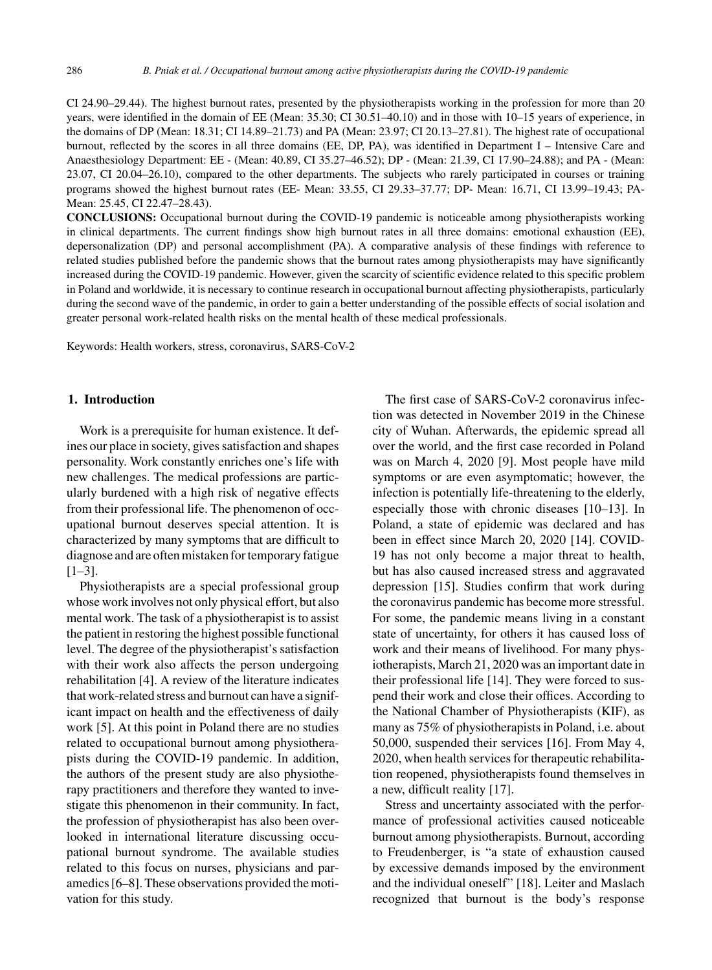CI 24.90–29.44). The highest burnout rates, presented by the physiotherapists working in the profession for more than 20 years, were identified in the domain of EE (Mean: 35.30; CI 30.51–40.10) and in those with 10–15 years of experience, in the domains of DP (Mean: 18.31; CI 14.89–21.73) and PA (Mean: 23.97; CI 20.13–27.81). The highest rate of occupational burnout, reflected by the scores in all three domains (EE, DP, PA), was identified in Department I – Intensive Care and Anaesthesiology Department: EE - (Mean: 40.89, CI 35.27–46.52); DP - (Mean: 21.39, CI 17.90–24.88); and PA - (Mean: 23.07, CI 20.04–26.10), compared to the other departments. The subjects who rarely participated in courses or training programs showed the highest burnout rates (EE- Mean: 33.55, CI 29.33–37.77; DP- Mean: 16.71, CI 13.99–19.43; PA-Mean: 25.45, CI 22.47–28.43).

**CONCLUSIONS:** Occupational burnout during the COVID-19 pandemic is noticeable among physiotherapists working in clinical departments. The current findings show high burnout rates in all three domains: emotional exhaustion (EE), depersonalization (DP) and personal accomplishment (PA). A comparative analysis of these findings with reference to related studies published before the pandemic shows that the burnout rates among physiotherapists may have significantly increased during the COVID-19 pandemic. However, given the scarcity of scientific evidence related to this specific problem in Poland and worldwide, it is necessary to continue research in occupational burnout affecting physiotherapists, particularly during the second wave of the pandemic, in order to gain a better understanding of the possible effects of social isolation and greater personal work-related health risks on the mental health of these medical professionals.

Keywords: Health workers, stress, coronavirus, SARS-CoV-2

## **1. Introduction**

Work is a prerequisite for human existence. It defines our place in society, gives satisfaction and shapes personality. Work constantly enriches one's life with new challenges. The medical professions are particularly burdened with a high risk of negative effects from their professional life. The phenomenon of occupational burnout deserves special attention. It is characterized by many symptoms that are difficult to diagnose and are often mistaken for temporary fatigue [1–3].

Physiotherapists are a special professional group whose work involves not only physical effort, but also mental work. The task of a physiotherapist is to assist the patient in restoring the highest possible functional level. The degree of the physiotherapist's satisfaction with their work also affects the person undergoing rehabilitation [4]. A review of the literature indicates that work-related stress and burnout can have a significant impact on health and the effectiveness of daily work [5]. At this point in Poland there are no studies related to occupational burnout among physiotherapists during the COVID-19 pandemic. In addition, the authors of the present study are also physiotherapy practitioners and therefore they wanted to investigate this phenomenon in their community. In fact, the profession of physiotherapist has also been overlooked in international literature discussing occupational burnout syndrome. The available studies related to this focus on nurses, physicians and paramedics [6–8]. These observations provided the motivation for this study.

The first case of SARS-CoV-2 coronavirus infection was detected in November 2019 in the Chinese city of Wuhan. Afterwards, the epidemic spread all over the world, and the first case recorded in Poland was on March 4, 2020 [9]. Most people have mild symptoms or are even asymptomatic; however, the infection is potentially life-threatening to the elderly, especially those with chronic diseases [10–13]. In Poland, a state of epidemic was declared and has been in effect since March 20, 2020 [14]. COVID-19 has not only become a major threat to health, but has also caused increased stress and aggravated depression [15]. Studies confirm that work during the coronavirus pandemic has become more stressful. For some, the pandemic means living in a constant state of uncertainty, for others it has caused loss of work and their means of livelihood. For many physiotherapists, March 21, 2020 was an important date in their professional life [14]. They were forced to suspend their work and close their offices. According to the National Chamber of Physiotherapists (KIF), as many as 75% of physiotherapists in Poland, i.e. about 50,000, suspended their services [16]. From May 4, 2020, when health services for therapeutic rehabilitation reopened, physiotherapists found themselves in a new, difficult reality [17].

Stress and uncertainty associated with the performance of professional activities caused noticeable burnout among physiotherapists. Burnout, according to Freudenberger, is "a state of exhaustion caused by excessive demands imposed by the environment and the individual oneself" [18]. Leiter and Maslach recognized that burnout is the body's response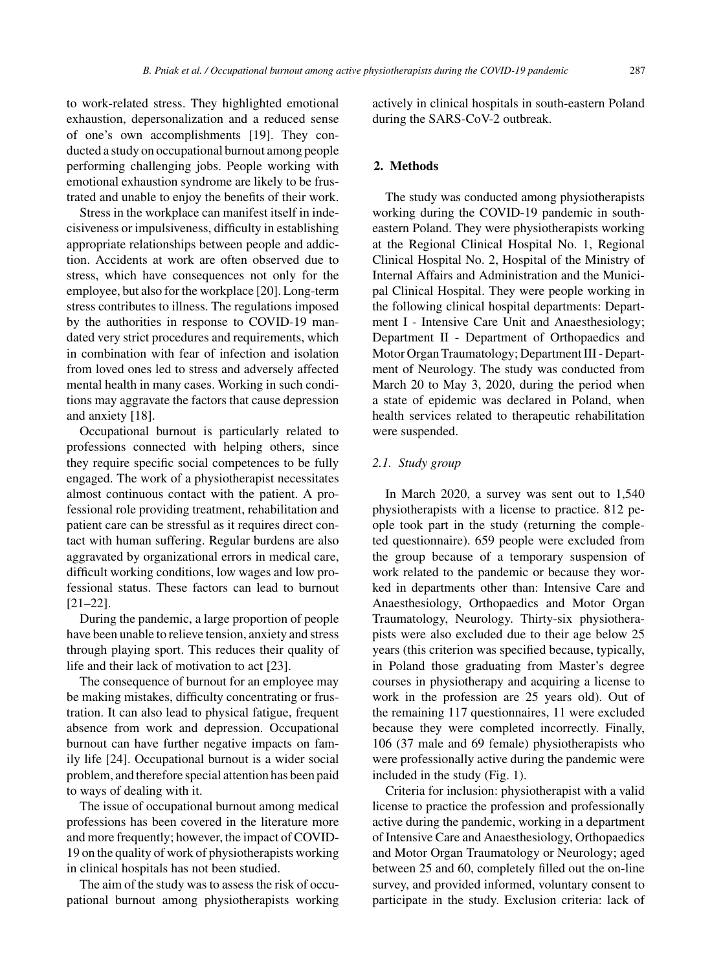to work-related stress. They highlighted emotional exhaustion, depersonalization and a reduced sense of one's own accomplishments [19]. They conducted a study on occupational burnout among people performing challenging jobs. People working with emotional exhaustion syndrome are likely to be frustrated and unable to enjoy the benefits of their work.

Stress in the workplace can manifest itself in indecisiveness or impulsiveness, difficulty in establishing appropriate relationships between people and addiction. Accidents at work are often observed due to stress, which have consequences not only for the employee, but also for the workplace [20]. Long-term stress contributes to illness. The regulations imposed by the authorities in response to COVID-19 mandated very strict procedures and requirements, which in combination with fear of infection and isolation from loved ones led to stress and adversely affected mental health in many cases. Working in such conditions may aggravate the factors that cause depression and anxiety [18].

Occupational burnout is particularly related to professions connected with helping others, since they require specific social competences to be fully engaged. The work of a physiotherapist necessitates almost continuous contact with the patient. A professional role providing treatment, rehabilitation and patient care can be stressful as it requires direct contact with human suffering. Regular burdens are also aggravated by organizational errors in medical care, difficult working conditions, low wages and low professional status. These factors can lead to burnout [21–22].

During the pandemic, a large proportion of people have been unable to relieve tension, anxiety and stress through playing sport. This reduces their quality of life and their lack of motivation to act [23].

The consequence of burnout for an employee may be making mistakes, difficulty concentrating or frustration. It can also lead to physical fatigue, frequent absence from work and depression. Occupational burnout can have further negative impacts on family life [24]. Occupational burnout is a wider social problem, and therefore special attention has been paid to ways of dealing with it.

The issue of occupational burnout among medical professions has been covered in the literature more and more frequently; however, the impact of COVID-19 on the quality of work of physiotherapists working in clinical hospitals has not been studied.

The aim of the study was to assess the risk of occupational burnout among physiotherapists working actively in clinical hospitals in south-eastern Poland during the SARS-CoV-2 outbreak.

# **2. Methods**

The study was conducted among physiotherapists working during the COVID-19 pandemic in southeastern Poland. They were physiotherapists working at the Regional Clinical Hospital No. 1, Regional Clinical Hospital No. 2, Hospital of the Ministry of Internal Affairs and Administration and the Municipal Clinical Hospital. They were people working in the following clinical hospital departments: Department I - Intensive Care Unit and Anaesthesiology; Department II - Department of Orthopaedics and Motor Organ Traumatology; Department III - Department of Neurology. The study was conducted from March 20 to May 3, 2020, during the period when a state of epidemic was declared in Poland, when health services related to therapeutic rehabilitation were suspended.

#### *2.1. Study group*

In March 2020, a survey was sent out to 1,540 physiotherapists with a license to practice. 812 people took part in the study (returning the completed questionnaire). 659 people were excluded from the group because of a temporary suspension of work related to the pandemic or because they worked in departments other than: Intensive Care and Anaesthesiology, Orthopaedics and Motor Organ Traumatology, Neurology. Thirty-six physiotherapists were also excluded due to their age below 25 years (this criterion was specified because, typically, in Poland those graduating from Master's degree courses in physiotherapy and acquiring a license to work in the profession are 25 years old). Out of the remaining 117 questionnaires, 11 were excluded because they were completed incorrectly. Finally, 106 (37 male and 69 female) physiotherapists who were professionally active during the pandemic were included in the study (Fig. 1).

Criteria for inclusion: physiotherapist with a valid license to practice the profession and professionally active during the pandemic, working in a department of Intensive Care and Anaesthesiology, Orthopaedics and Motor Organ Traumatology or Neurology; aged between 25 and 60, completely filled out the on-line survey, and provided informed, voluntary consent to participate in the study. Exclusion criteria: lack of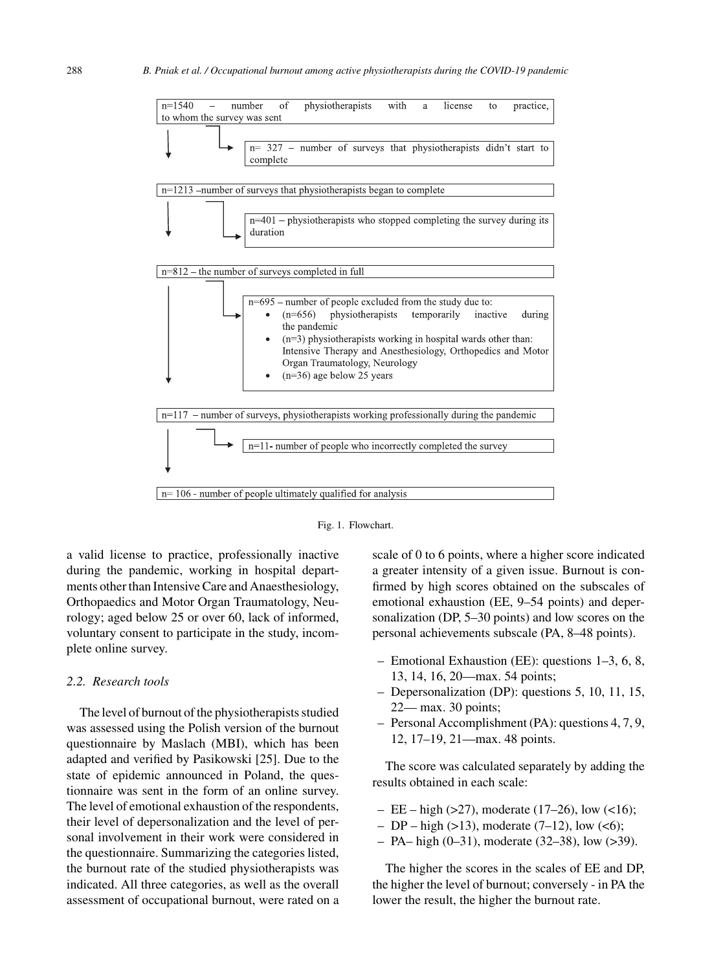

Fig. 1. Flowchart.

a valid license to practice, professionally inactive during the pandemic, working in hospital departments other than Intensive Care and Anaesthesiology, Orthopaedics and Motor Organ Traumatology, Neurology; aged below 25 or over 60, lack of informed, voluntary consent to participate in the study, incomplete online survey.

#### *2.2. Research tools*

The level of burnout of the physiotherapists studied was assessed using the Polish version of the burnout questionnaire by Maslach (MBI), which has been adapted and verified by Pasikowski [25]. Due to the state of epidemic announced in Poland, the questionnaire was sent in the form of an online survey. The level of emotional exhaustion of the respondents, their level of depersonalization and the level of personal involvement in their work were considered in the questionnaire. Summarizing the categories listed, the burnout rate of the studied physiotherapists was indicated. All three categories, as well as the overall assessment of occupational burnout, were rated on a scale of 0 to 6 points, where a higher score indicated a greater intensity of a given issue. Burnout is confirmed by high scores obtained on the subscales of emotional exhaustion (EE, 9–54 points) and depersonalization (DP, 5–30 points) and low scores on the personal achievements subscale (PA, 8–48 points).

- Emotional Exhaustion (EE): questions 1–3, 6, 8, 13, 14, 16, 20—max. 54 points;
- Depersonalization (DP): questions 5, 10, 11, 15, 22— max. 30 points;
- Personal Accomplishment (PA): questions 4, 7, 9, 12, 17–19, 21—max. 48 points.

The score was calculated separately by adding the results obtained in each scale:

- $-$  EE high (>27), moderate (17–26), low (<16);
- DP high (>13), moderate (7–12), low (<6);
- PA– high (0–31), moderate (32–38), low (>39).

The higher the scores in the scales of EE and DP, the higher the level of burnout; conversely - in PA the lower the result, the higher the burnout rate.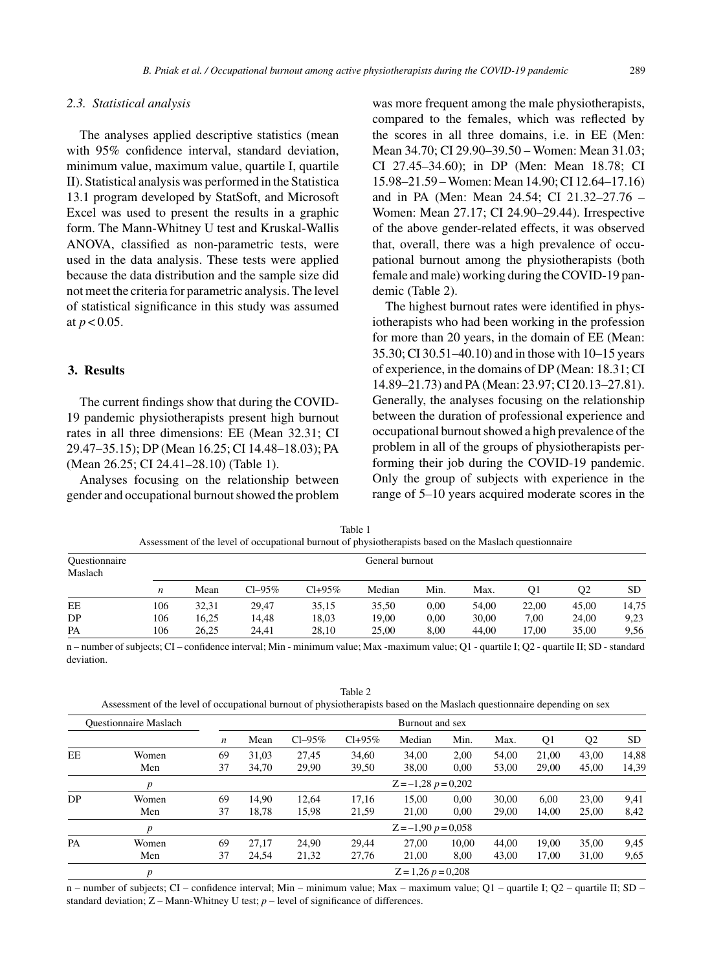## *2.3. Statistical analysis*

The analyses applied descriptive statistics (mean with 95% confidence interval, standard deviation, minimum value, maximum value, quartile I, quartile II). Statistical analysis was performed in the Statistica 13.1 program developed by StatSoft, and Microsoft Excel was used to present the results in a graphic form. The Mann-Whitney U test and Kruskal-Wallis ANOVA, classified as non-parametric tests, were used in the data analysis. These tests were applied because the data distribution and the sample size did not meet the criteria for parametric analysis. The level of statistical significance in this study was assumed at  $p < 0.05$ .

# **3. Results**

The current findings show that during the COVID-19 pandemic physiotherapists present high burnout rates in all three dimensions: EE (Mean 32.31; CI 29.47–35.15); DP (Mean 16.25; CI 14.48–18.03); PA (Mean 26.25; CI 24.41–28.10) (Table 1).

Analyses focusing on the relationship between gender and occupational burnout showed the problem was more frequent among the male physiotherapists, compared to the females, which was reflected by the scores in all three domains, i.e. in EE (Men: Mean 34.70; CI 29.90–39.50 – Women: Mean 31.03; CI 27.45–34.60); in DP (Men: Mean 18.78; CI 15.98–21.59 – Women: Mean 14.90; CI 12.64–17.16) and in PA (Men: Mean 24.54; CI 21.32–27.76 – Women: Mean 27.17; CI 24.90–29.44). Irrespective of the above gender-related effects, it was observed that, overall, there was a high prevalence of occupational burnout among the physiotherapists (both female and male) working during the COVID-19 pandemic (Table 2).

The highest burnout rates were identified in physiotherapists who had been working in the profession for more than 20 years, in the domain of EE (Mean: 35.30; CI 30.51–40.10) and in those with 10–15 years of experience, in the domains of DP (Mean: 18.31; CI 14.89–21.73) and PA (Mean: 23.97; CI 20.13–27.81). Generally, the analyses focusing on the relationship between the duration of professional experience and occupational burnout showed a high prevalence of the problem in all of the groups of physiotherapists performing their job during the COVID-19 pandemic. Only the group of subjects with experience in the range of 5–10 years acquired moderate scores in the

|                                 |     |                 |          | Assessment of the level of occupational burnout of physiotherapists based on the Maslach questionnaire |        |      |       |       |                |       |  |  |  |  |
|---------------------------------|-----|-----------------|----------|--------------------------------------------------------------------------------------------------------|--------|------|-------|-------|----------------|-------|--|--|--|--|
| <b>Questionnaire</b><br>Maslach |     | General burnout |          |                                                                                                        |        |      |       |       |                |       |  |  |  |  |
|                                 | n   | Mean            | $Cl-95%$ | $Cl + 95\%$                                                                                            | Median | Min. | Max.  | O1    | O <sub>2</sub> | SD.   |  |  |  |  |
| EE                              | 106 | 32.31           | 29.47    | 35.15                                                                                                  | 35.50  | 0.00 | 54.00 | 22.00 | 45.00          | 14,75 |  |  |  |  |
| DP.                             | 106 | 16.25           | 14.48    | 18.03                                                                                                  | 19.00  | 0.00 | 30.00 | 7.00  | 24.00          | 9,23  |  |  |  |  |
| PA                              | 106 | 26.25           | 24.41    | 28.10                                                                                                  | 25,00  | 8.00 | 44.00 | 17.00 | 35.00          | 9.56  |  |  |  |  |

Table 1

n – number of subjects; CI – confidence interval; Min - minimum value; Max -maximum value; Q1 - quartile I; Q2 - quartile II; SD - standard deviation.

Table 2 Assessment of the level of occupational burnout of physiotherapists based on the Maslach questionnaire depending on sex

| <b>Ouestionnaire Maslach</b> |       |                  | Burnout and sex |          |             |                       |       |       |                |                                           |           |  |  |
|------------------------------|-------|------------------|-----------------|----------|-------------|-----------------------|-------|-------|----------------|-------------------------------------------|-----------|--|--|
|                              |       | $\boldsymbol{n}$ | Mean            | $Cl-95%$ | $Cl + 95\%$ | Median                | Min.  | Max.  | Q <sub>1</sub> | Q <sub>2</sub>                            | <b>SD</b> |  |  |
| EE                           | Women | 69               | 31.03           | 27.45    | 34,60       | 34,00                 | 2,00  | 54.00 | 21.00          | 43.00                                     | 14,88     |  |  |
|                              | Men   | 37               | 34,70           | 29,90    | 39,50       | 38,00                 | 0.00  | 53,00 | 29,00          | 45,00<br>23,00<br>25,00<br>35,00<br>31,00 | 14,39     |  |  |
|                              | p     |                  |                 |          |             | $Z = -1,28 p = 0,202$ |       |       |                |                                           |           |  |  |
| DP.                          | Women | 69               | 14.90           | 12.64    | 17,16       | 15,00                 | 0.00  | 30.00 | 6.00           |                                           | 9,41      |  |  |
|                              | Men   | 37               | 18,78           | 15,98    | 21,59       | 21,00                 | 0.00  | 29,00 | 14.00          |                                           | 8,42      |  |  |
|                              | p     |                  |                 |          |             | $Z = -1,90 p = 0,058$ |       |       |                |                                           |           |  |  |
| PA                           | Women | 69               | 27.17           | 24,90    | 29,44       | 27,00                 | 10.00 | 44.00 | 19.00          |                                           | 9.45      |  |  |
|                              | Men   | 37               | 24,54           | 21,32    | 27,76       | 21,00                 | 8,00  | 43,00 | 17.00          |                                           | 9,65      |  |  |
|                              | p     |                  |                 |          |             | $Z = 1,26 p = 0,208$  |       |       |                |                                           |           |  |  |

n – number of subjects; CI – confidence interval; Min – minimum value; Max – maximum value; Q1 – quartile I; Q2 – quartile II; SD – standard deviation;  $Z$  – Mann-Whitney U test;  $p$  – level of significance of differences.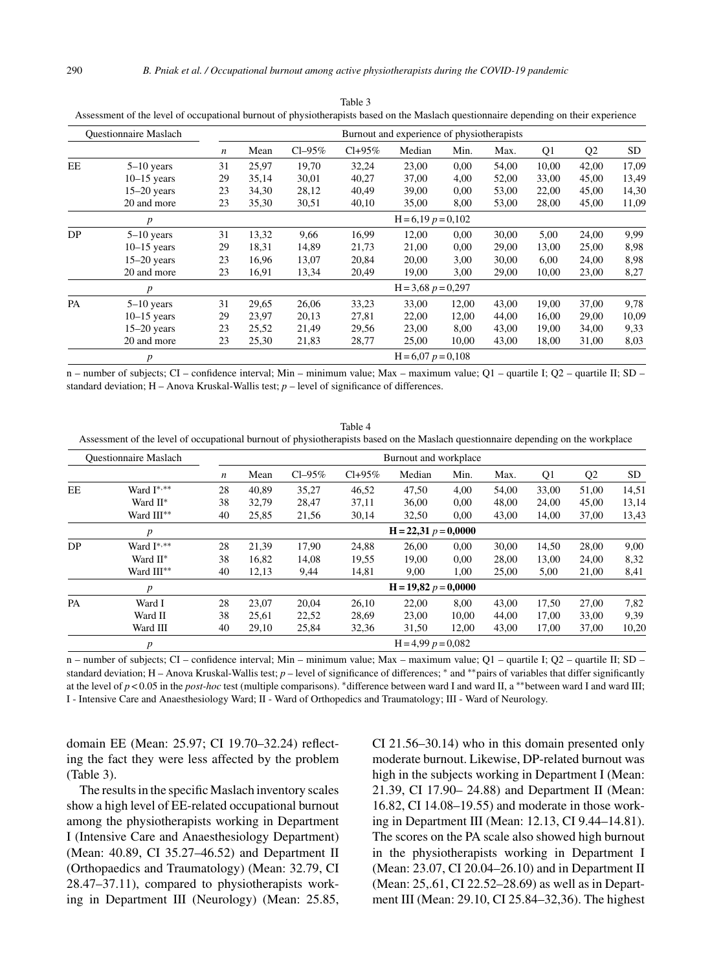| <b>Ouestionnaire Maslach</b> |                  |                  |       |          |             | Burnout and experience of physiotherapists |       |       |       |                |       |
|------------------------------|------------------|------------------|-------|----------|-------------|--------------------------------------------|-------|-------|-------|----------------|-------|
|                              |                  | $\boldsymbol{n}$ | Mean  | $Cl-95%$ | $Cl + 95\%$ | Median                                     | Min.  | Max.  | Q1    | Q <sub>2</sub> | SD    |
| EE                           | $5-10$ years     | 31               | 25,97 | 19,70    | 32,24       | 23,00                                      | 0.00  | 54,00 | 10,00 | 42,00          | 17,09 |
|                              | $10-15$ years    | 29               | 35,14 | 30,01    | 40,27       | 37,00                                      | 4,00  | 52,00 | 33,00 | 45,00          | 13,49 |
|                              | $15-20$ years    | 23               | 34,30 | 28,12    | 40,49       | 39,00                                      | 0,00  | 53,00 | 22,00 | 45,00          | 14,30 |
|                              | 20 and more      | 23               | 35,30 | 30,51    | 40,10       | 35,00                                      | 8,00  | 53,00 | 28,00 | 45,00          | 11,09 |
|                              | p                |                  |       |          |             | $H = 6.19 p = 0.102$                       |       |       |       |                |       |
| DP                           | $5-10$ years     | 31               | 13,32 | 9,66     | 16,99       | 12,00                                      | 0.00  | 30,00 | 5,00  | 24,00          | 9,99  |
|                              | $10-15$ years    | 29               | 18,31 | 14,89    | 21,73       | 21,00                                      | 0.00  | 29,00 | 13,00 | 25,00          | 8,98  |
|                              | $15-20$ years    | 23               | 16,96 | 13,07    | 20,84       | 20,00                                      | 3,00  | 30,00 | 6,00  | 24,00          | 8.98  |
|                              | 20 and more      | 23               | 16,91 | 13,34    | 20,49       | 19,00                                      | 3,00  | 29,00 | 10,00 | 23,00          | 8,27  |
|                              | $\boldsymbol{p}$ |                  |       |          |             | $H = 3,68 p = 0,297$                       |       |       |       |                |       |
| PA                           | $5-10$ years     | 31               | 29,65 | 26,06    | 33,23       | 33,00                                      | 12,00 | 43,00 | 19,00 | 37,00          | 9,78  |
|                              | $10-15$ years    | 29               | 23,97 | 20,13    | 27,81       | 22,00                                      | 12,00 | 44,00 | 16,00 | 29,00          | 10,09 |
|                              | $15-20$ years    | 23               | 25,52 | 21.49    | 29,56       | 23.00                                      | 8.00  | 43,00 | 19.00 | 34,00          | 9.33  |
|                              | 20 and more      | 23               | 25,30 | 21,83    | 28,77       | 25,00                                      | 10,00 | 43,00 | 18,00 | 31,00          | 8,03  |
|                              | $\boldsymbol{p}$ |                  |       |          |             | $H = 6.07 p = 0.108$                       |       |       |       |                |       |

Table 3 Assessment of the level of occupational burnout of physiotherapists based on the Maslach questionnaire depending on their experience

n – number of subjects; CI – confidence interval; Min – minimum value; Max – maximum value; Q1 – quartile I; Q2 – quartile II; SD – standard deviation;  $H - A$ nova Kruskal-Wallis test;  $p -$  level of significance of differences.

Table 4 Assessment of the level of occupational burnout of physiotherapists based on the Maslach questionnaire depending on the workplace

|    | <b>Ouestionnaire Maslach</b> |                  |       |             |             | Burnout and workplace  |       |       |       |                |       |
|----|------------------------------|------------------|-------|-------------|-------------|------------------------|-------|-------|-------|----------------|-------|
|    |                              | $\boldsymbol{n}$ | Mean  | $Cl - 95\%$ | $Cl + 95\%$ | Median                 | Min.  | Max.  | Q1    | Q <sub>2</sub> | SD    |
| EE | Ward I*,**                   | 28               | 40,89 | 35,27       | 46,52       | 47,50                  | 4,00  | 54.00 | 33,00 | 51,00          | 14,51 |
|    | Ward II*                     | 38               | 32,79 | 28,47       | 37,11       | 36,00                  | 0,00  | 48,00 | 24,00 | 45,00          | 13,14 |
|    | Ward III**                   | 40               | 25,85 | 21,56       | 30,14       | 32,50                  | 0.00  | 43,00 | 14,00 | 37.00          | 13,43 |
|    | $\boldsymbol{p}$             |                  |       |             |             | $H = 22,31 p = 0,0000$ |       |       |       |                |       |
| DP | Ward I*,**                   | 28               | 21,39 | 17.90       | 24,88       | 26,00                  | 0,00  | 30.00 | 14,50 | 28,00          | 9,00  |
|    | Ward II*                     | 38               | 16,82 | 14,08       | 19,55       | 19,00                  | 0,00  | 28,00 | 13,00 | 24,00          | 8,32  |
|    | Ward III**                   | 40               | 12,13 | 9,44        | 14,81       | 9,00                   | 1,00  | 25,00 | 5,00  | 21,00          | 8,41  |
|    | $\boldsymbol{p}$             |                  |       |             |             | $H = 19,82 p = 0,0000$ |       |       |       |                |       |
| PA | Ward I                       | 28               | 23,07 | 20,04       | 26,10       | 22,00                  | 8,00  | 43,00 | 17,50 | 27,00          | 7,82  |
|    | Ward II                      | 38               | 25.61 | 22,52       | 28.69       | 23.00                  | 10.00 | 44.00 | 17.00 | 33.00          | 9,39  |
|    | Ward III                     | 40               | 29,10 | 25,84       | 32,36       | 31,50                  | 12,00 | 43,00 | 17,00 | 37,00          | 10,20 |
|    |                              |                  |       |             |             | $H = 4.99 p = 0.082$   |       |       |       |                |       |

n – number of subjects; CI – confidence interval; Min – minimum value; Max – maximum value; Q1 – quartile I; Q2 – quartile II; SD – standard deviation; H – Anova Kruskal-Wallis test; *p* – level of significance of differences; \* and \*\*pairs of variables that differ significantly at the level of *p* < 0.05 in the *post-hoc* test (multiple comparisons). ∗difference between ward I and ward II, a ∗∗between ward I and ward III; I - Intensive Care and Anaesthesiology Ward; II - Ward of Orthopedics and Traumatology; III - Ward of Neurology.

domain EE (Mean: 25.97; CI 19.70–32.24) reflecting the fact they were less affected by the problem (Table 3).

The results in the specific Maslach inventory scales show a high level of EE-related occupational burnout among the physiotherapists working in Department I (Intensive Care and Anaesthesiology Department) (Mean: 40.89, CI 35.27–46.52) and Department II (Orthopaedics and Traumatology) (Mean: 32.79, CI 28.47–37.11), compared to physiotherapists working in Department III (Neurology) (Mean: 25.85,

CI 21.56–30.14) who in this domain presented only moderate burnout. Likewise, DP-related burnout was high in the subjects working in Department I (Mean: 21.39, CI 17.90– 24.88) and Department II (Mean: 16.82, CI 14.08–19.55) and moderate in those working in Department III (Mean: 12.13, CI 9.44–14.81). The scores on the PA scale also showed high burnout in the physiotherapists working in Department I (Mean: 23.07, CI 20.04–26.10) and in Department II (Mean: 25,.61, CI 22.52–28.69) as well as in Department III (Mean: 29.10, CI 25.84–32,36). The highest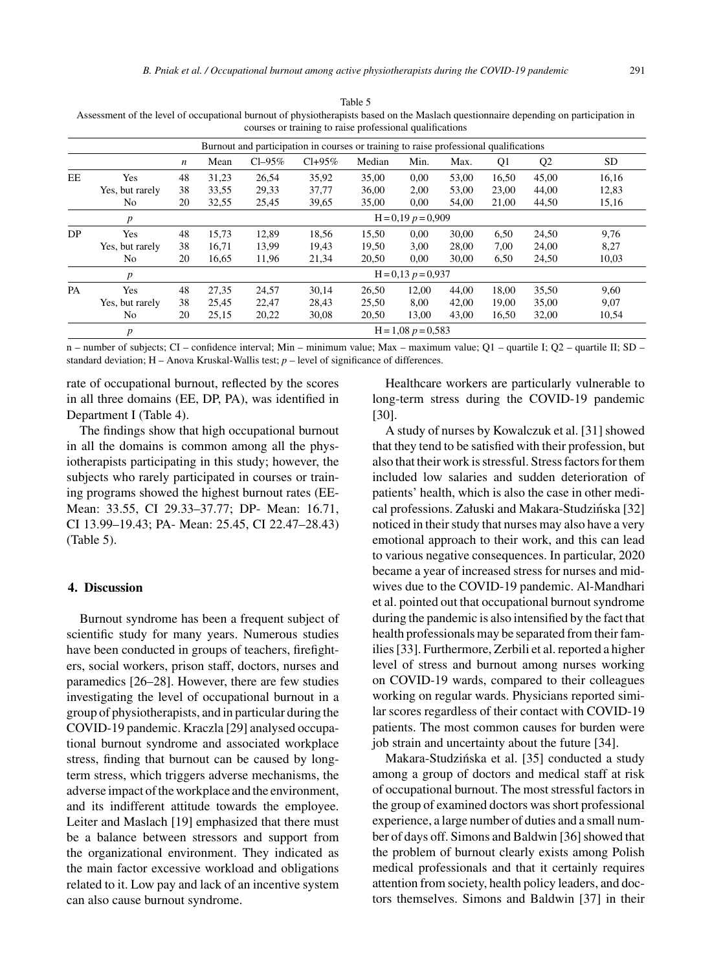|     | Assessment of the level of occupational burnout of physiotherapists based on the Maslach questionnaire depending on participation in |                                                                                       |       |          | courses or training to raise professional qualifications |        |                      |       |       |                |           |  |  |  |
|-----|--------------------------------------------------------------------------------------------------------------------------------------|---------------------------------------------------------------------------------------|-------|----------|----------------------------------------------------------|--------|----------------------|-------|-------|----------------|-----------|--|--|--|
|     |                                                                                                                                      | Burnout and participation in courses or training to raise professional qualifications |       |          |                                                          |        |                      |       |       |                |           |  |  |  |
|     |                                                                                                                                      | $\boldsymbol{n}$                                                                      | Mean  | $Cl-95%$ | $Cl + 95\%$                                              | Median | Min.                 | Max.  | O1    | Q <sub>2</sub> | <b>SD</b> |  |  |  |
| EE  | <b>Yes</b>                                                                                                                           | 48                                                                                    | 31.23 | 26.54    | 35.92                                                    | 35.00  | 0.00                 | 53.00 | 16.50 | 45.00          | 16.16     |  |  |  |
|     | Yes, but rarely                                                                                                                      | 38                                                                                    | 33,55 | 29.33    | 37.77                                                    | 36.00  | 2.00                 | 53,00 | 23,00 | 44.00          | 12,83     |  |  |  |
|     | No                                                                                                                                   | 20                                                                                    | 32.55 | 25,45    | 39,65                                                    | 35.00  | 0.00                 | 54.00 | 21.00 | 44.50          | 15,16     |  |  |  |
|     |                                                                                                                                      |                                                                                       |       |          |                                                          |        | $H = 0.19 p = 0.909$ |       |       |                |           |  |  |  |
| DP. | Yes                                                                                                                                  | 48                                                                                    | 15.73 | 12.89    | 18.56                                                    | 15.50  | 0.00                 | 30.00 | 6.50  | 24.50          | 9.76      |  |  |  |

Table 5 Assessment of the level of

n – number of subjects; CI – confidence interval; Min – minimum value; Max – maximum value; Q1 – quartile I; Q2 – quartile II; SD – standard deviation;  $H - A$ nova Kruskal-Wallis test;  $p -$  level of significance of differences.

Yes, but rarely 38 16,71 13,99 19,43 19,50 3,00 28,00 7,00 24,00 8,27 No 20 16,65 11,96 21,34 20,50 0,00 30,00 6,50 24,50 10,03

PA Yes 48 27,35 24,57 30,14 26,50 12,00 44,00 18,00 35,50 9,60 Yes, but rarely 38 25,45 22,47 28,43 25,50 8,00 42,00 19,00 35,00 9,07 No 20 25,15 20,22 30,08 20,50 13,00 43,00 16,50 32,00 10,54

*p*  $H = 0.13$  *p* = 0,937

*p*  $H = 1,08$  *p* = 0,583

rate of occupational burnout, reflected by the scores in all three domains (EE, DP, PA), was identified in Department I (Table 4).

The findings show that high occupational burnout in all the domains is common among all the physiotherapists participating in this study; however, the subjects who rarely participated in courses or training programs showed the highest burnout rates (EE-Mean: 33.55, CI 29.33–37.77; DP- Mean: 16.71, CI 13.99–19.43; PA- Mean: 25.45, CI 22.47–28.43) (Table 5).

#### **4. Discussion**

Burnout syndrome has been a frequent subject of scientific study for many years. Numerous studies have been conducted in groups of teachers, firefighters, social workers, prison staff, doctors, nurses and paramedics [26–28]. However, there are few studies investigating the level of occupational burnout in a group of physiotherapists, and in particular during the COVID-19 pandemic. Kraczla [29] analysed occupational burnout syndrome and associated workplace stress, finding that burnout can be caused by longterm stress, which triggers adverse mechanisms, the adverse impact of the workplace and the environment, and its indifferent attitude towards the employee. Leiter and Maslach [19] emphasized that there must be a balance between stressors and support from the organizational environment. They indicated as the main factor excessive workload and obligations related to it. Low pay and lack of an incentive system can also cause burnout syndrome.

Healthcare workers are particularly vulnerable to long-term stress during the COVID-19 pandemic [30].

A study of nurses by Kowalczuk et al. [31] showed that they tend to be satisfied with their profession, but also that their work is stressful. Stress factors for them included low salaries and sudden deterioration of patients' health, which is also the case in other medical professions. Załuski and Makara-Studzińska [32] noticed in their study that nurses may also have a very emotional approach to their work, and this can lead to various negative consequences. In particular, 2020 became a year of increased stress for nurses and midwives due to the COVID-19 pandemic. Al-Mandhari et al. pointed out that occupational burnout syndrome during the pandemic is also intensified by the fact that health professionals may be separated from their families [33]. Furthermore, Zerbili et al. reported a higher level of stress and burnout among nurses working on COVID-19 wards, compared to their colleagues working on regular wards. Physicians reported similar scores regardless of their contact with COVID-19 patients. The most common causes for burden were job strain and uncertainty about the future [34].

Makara-Studzińska et al. [35] conducted a study among a group of doctors and medical staff at risk of occupational burnout. The most stressful factors in the group of examined doctors was short professional experience, a large number of duties and a small number of days off. Simons and Baldwin [36] showed that the problem of burnout clearly exists among Polish medical professionals and that it certainly requires attention from society, health policy leaders, and doctors themselves. Simons and Baldwin [37] in their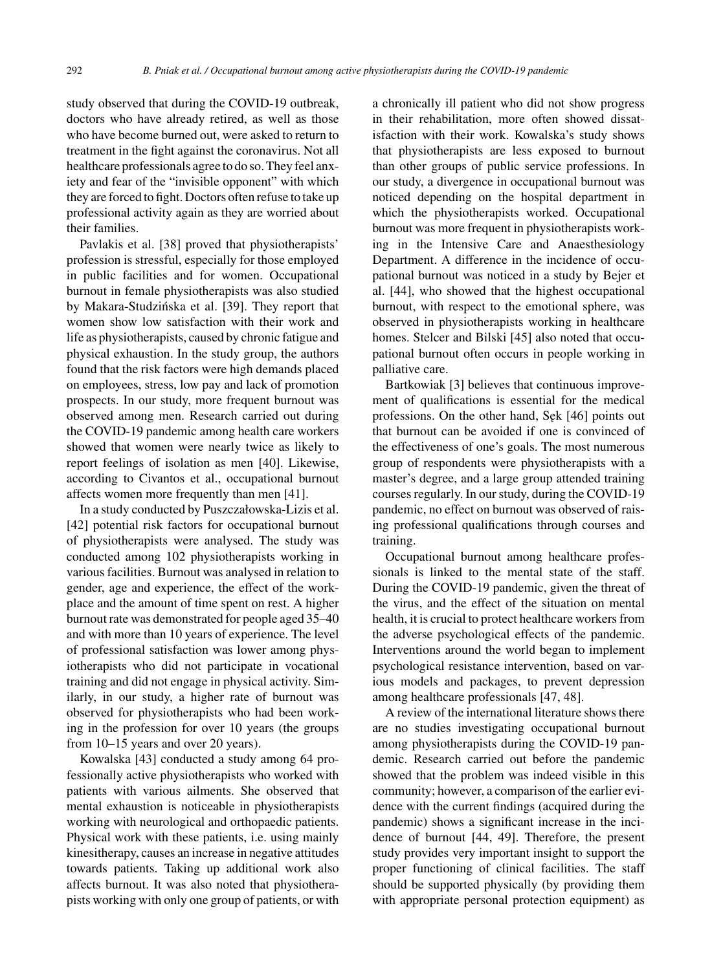study observed that during the COVID-19 outbreak, doctors who have already retired, as well as those who have become burned out, were asked to return to treatment in the fight against the coronavirus. Not all healthcare professionals agree to do so. They feel anxiety and fear of the "invisible opponent" with which they are forced to fight. Doctors often refuse to take up professional activity again as they are worried about their families.

Pavlakis et al. [38] proved that physiotherapists' profession is stressful, especially for those employed in public facilities and for women. Occupational burnout in female physiotherapists was also studied by Makara-Studzińska et al. [39]. They report that women show low satisfaction with their work and life as physiotherapists, caused by chronic fatigue and physical exhaustion. In the study group, the authors found that the risk factors were high demands placed on employees, stress, low pay and lack of promotion prospects. In our study, more frequent burnout was observed among men. Research carried out during the COVID-19 pandemic among health care workers showed that women were nearly twice as likely to report feelings of isolation as men [40]. Likewise, according to Civantos et al., occupational burnout affects women more frequently than men [41].

In a study conducted by Puszczałowska-Lizis et al. [42] potential risk factors for occupational burnout of physiotherapists were analysed. The study was conducted among 102 physiotherapists working in various facilities. Burnout was analysed in relation to gender, age and experience, the effect of the workplace and the amount of time spent on rest. A higher burnout rate was demonstrated for people aged 35–40 and with more than 10 years of experience. The level of professional satisfaction was lower among physiotherapists who did not participate in vocational training and did not engage in physical activity. Similarly, in our study, a higher rate of burnout was observed for physiotherapists who had been working in the profession for over 10 years (the groups from 10–15 years and over 20 years).

Kowalska [43] conducted a study among 64 professionally active physiotherapists who worked with patients with various ailments. She observed that mental exhaustion is noticeable in physiotherapists working with neurological and orthopaedic patients. Physical work with these patients, i.e. using mainly kinesitherapy, causes an increase in negative attitudes towards patients. Taking up additional work also affects burnout. It was also noted that physiotherapists working with only one group of patients, or with

a chronically ill patient who did not show progress in their rehabilitation, more often showed dissatisfaction with their work. Kowalska's study shows that physiotherapists are less exposed to burnout than other groups of public service professions. In our study, a divergence in occupational burnout was noticed depending on the hospital department in which the physiotherapists worked. Occupational burnout was more frequent in physiotherapists working in the Intensive Care and Anaesthesiology Department. A difference in the incidence of occupational burnout was noticed in a study by Bejer et al. [44], who showed that the highest occupational burnout, with respect to the emotional sphere, was observed in physiotherapists working in healthcare homes. Stelcer and Bilski [45] also noted that occupational burnout often occurs in people working in palliative care.

Bartkowiak [3] believes that continuous improvement of qualifications is essential for the medical professions. On the other hand, Sek [46] points out that burnout can be avoided if one is convinced of the effectiveness of one's goals. The most numerous group of respondents were physiotherapists with a master's degree, and a large group attended training courses regularly. In our study, during the COVID-19 pandemic, no effect on burnout was observed of raising professional qualifications through courses and training.

Occupational burnout among healthcare professionals is linked to the mental state of the staff. During the COVID-19 pandemic, given the threat of the virus, and the effect of the situation on mental health, it is crucial to protect healthcare workers from the adverse psychological effects of the pandemic. Interventions around the world began to implement psychological resistance intervention, based on various models and packages, to prevent depression among healthcare professionals [47, 48].

A review of the international literature shows there are no studies investigating occupational burnout among physiotherapists during the COVID-19 pandemic. Research carried out before the pandemic showed that the problem was indeed visible in this community; however, a comparison of the earlier evidence with the current findings (acquired during the pandemic) shows a significant increase in the incidence of burnout [44, 49]. Therefore, the present study provides very important insight to support the proper functioning of clinical facilities. The staff should be supported physically (by providing them with appropriate personal protection equipment) as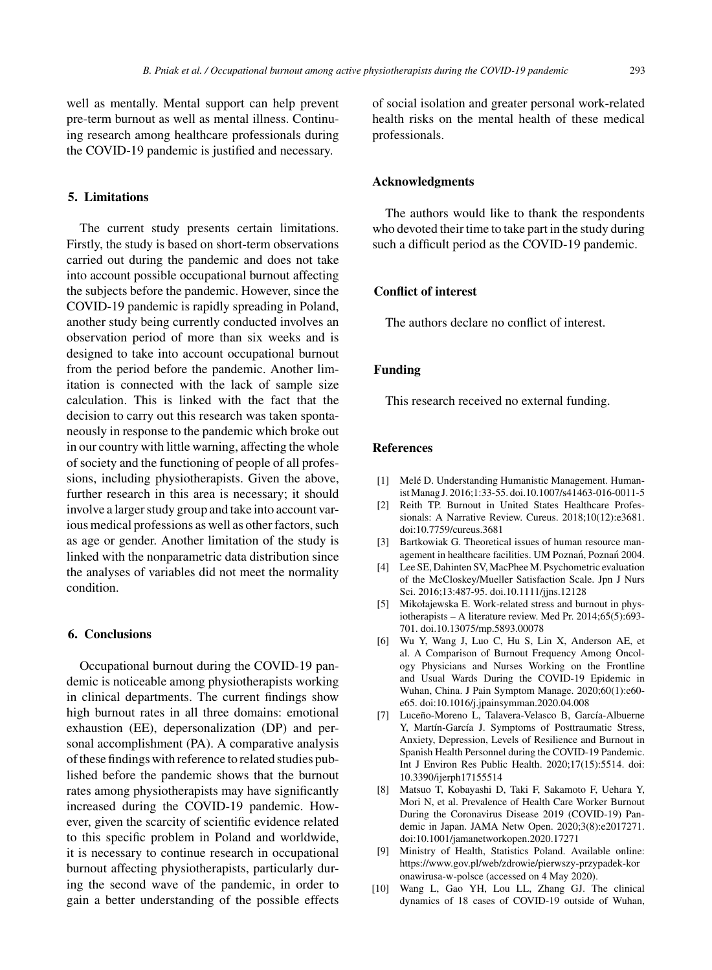well as mentally. Mental support can help prevent pre-term burnout as well as mental illness. Continuing research among healthcare professionals during the COVID-19 pandemic is justified and necessary.

## **5. Limitations**

The current study presents certain limitations. Firstly, the study is based on short-term observations carried out during the pandemic and does not take into account possible occupational burnout affecting the subjects before the pandemic. However, since the COVID-19 pandemic is rapidly spreading in Poland, another study being currently conducted involves an observation period of more than six weeks and is designed to take into account occupational burnout from the period before the pandemic. Another limitation is connected with the lack of sample size calculation. This is linked with the fact that the decision to carry out this research was taken spontaneously in response to the pandemic which broke out in our country with little warning, affecting the whole of society and the functioning of people of all professions, including physiotherapists. Given the above, further research in this area is necessary; it should involve a larger study group and take into account various medical professions as well as other factors, such as age or gender. Another limitation of the study is linked with the nonparametric data distribution since the analyses of variables did not meet the normality condition.

#### **6. Conclusions**

Occupational burnout during the COVID-19 pandemic is noticeable among physiotherapists working in clinical departments. The current findings show high burnout rates in all three domains: emotional exhaustion (EE), depersonalization (DP) and personal accomplishment (PA). A comparative analysis of these findings with reference to related studies published before the pandemic shows that the burnout rates among physiotherapists may have significantly increased during the COVID-19 pandemic. However, given the scarcity of scientific evidence related to this specific problem in Poland and worldwide, it is necessary to continue research in occupational burnout affecting physiotherapists, particularly during the second wave of the pandemic, in order to gain a better understanding of the possible effects

of social isolation and greater personal work-related health risks on the mental health of these medical professionals.

## **Acknowledgments**

The authors would like to thank the respondents who devoted their time to take part in the study during such a difficult period as the COVID-19 pandemic.

## **Conflict of interest**

The authors declare no conflict of interest.

# **Funding**

This research received no external funding.

# **References**

- [1] Melé D. Understanding Humanistic Management. Humanist Manag J. 2016;1:33-55. doi.10.1007/s41463-016-0011-5
- [2] Reith TP. Burnout in United States Healthcare Professionals: A Narrative Review. Cureus. 2018;10(12):e3681. doi:10.7759/cureus.3681
- [3] Bartkowiak G. Theoretical issues of human resource management in healthcare facilities. UM Poznań, Poznań 2004.
- [4] Lee SE, Dahinten SV, MacPhee M. Psychometric evaluation of the McCloskey/Mueller Satisfaction Scale. Jpn J Nurs Sci. 2016;13:487-95. doi.10.1111/jjns.12128
- [5] Mikołajewska E. Work-related stress and burnout in physiotherapists – A literature review. Med Pr. 2014;65(5):693- 701. doi.10.13075/mp.5893.00078
- [6] Wu Y, Wang J, Luo C, Hu S, Lin X, Anderson AE, et al. A Comparison of Burnout Frequency Among Oncology Physicians and Nurses Working on the Frontline and Usual Wards During the COVID-19 Epidemic in Wuhan, China. J Pain Symptom Manage. 2020;60(1):e60 e65. doi:10.1016/j.jpainsymman.2020.04.008
- [7] Luceño-Moreno L, Talavera-Velasco B, García-Albuerne Y, Martín-García J. Symptoms of Posttraumatic Stress, Anxiety, Depression, Levels of Resilience and Burnout in Spanish Health Personnel during the COVID-19 Pandemic. Int J Environ Res Public Health. 2020;17(15):5514. doi: 10.3390/ijerph17155514
- [8] Matsuo T, Kobayashi D, Taki F, Sakamoto F, Uehara Y, Mori N, et al. Prevalence of Health Care Worker Burnout During the Coronavirus Disease 2019 (COVID-19) Pandemic in Japan. JAMA Netw Open. 2020;3(8):e2017271. doi:10.1001/jamanetworkopen.2020.17271
- [9] Ministry of Health, Statistics Poland. Available online: [https://www.gov.pl/web/zdrowie/pierwszy-przypadek-kor](https://www.gov.pl/web/zdrowie/pierwszy-przypadek-koronawirusa-w-polsce) [onawirusa-w-polsce](https://www.gov.pl/web/zdrowie/pierwszy-przypadek-koronawirusa-w-polsce) (accessed on 4 May 2020).
- [10] Wang L, Gao YH, Lou LL, Zhang GJ. The clinical dynamics of 18 cases of COVID-19 outside of Wuhan,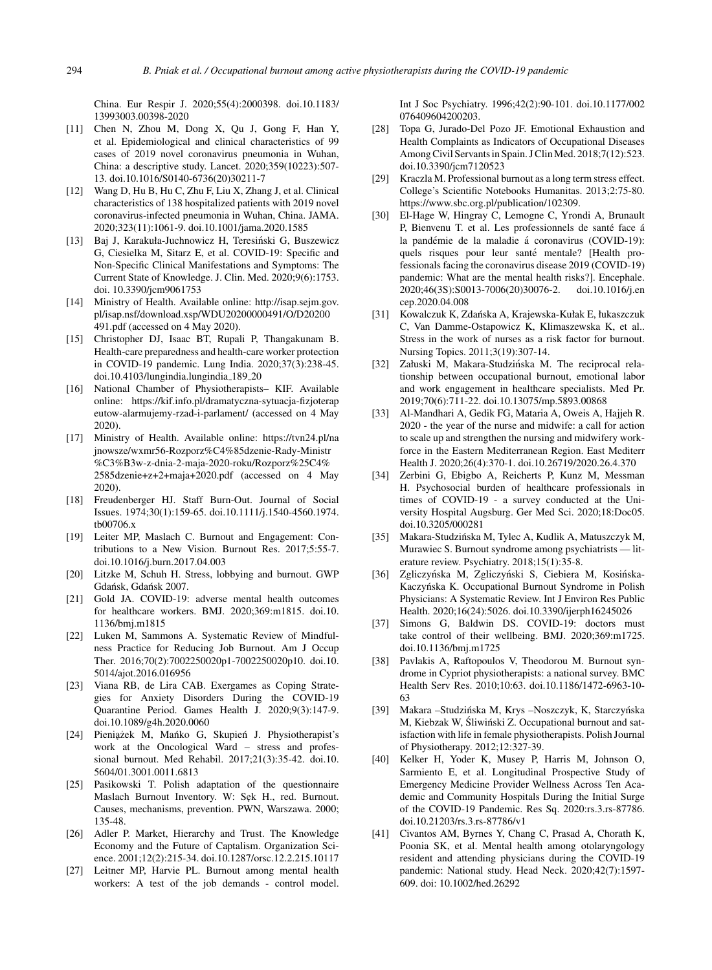China. Eur Respir J. 2020;55(4):2000398. doi.10.1183/ 13993003.00398-2020

- [11] Chen N, Zhou M, Dong X, Qu J, Gong F, Han Y, et al. Epidemiological and clinical characteristics of 99 cases of 2019 novel coronavirus pneumonia in Wuhan, China: a descriptive study. Lancet. 2020;359(10223):507- 13. doi.10.1016/S0140-6736(20)30211-7
- [12] Wang D, Hu B, Hu C, Zhu F, Liu X, Zhang J, et al. Clinical characteristics of 138 hospitalized patients with 2019 novel coronavirus-infected pneumonia in Wuhan, China. JAMA. 2020;323(11):1061-9. doi.10.1001/jama.2020.1585
- [13] Baj J, Karakuła-Juchnowicz H, Teresiński G, Buszewicz G, Ciesielka M, Sitarz E, et al. COVID-19: Specific and Non-Specific Clinical Manifestations and Symptoms: The Current State of Knowledge. J. Clin. Med. 2020;9(6):1753. doi. 10.3390/jcm9061753
- [14] Ministry of Health. Available online: [http://isap.sejm.gov.](http://isap.sejm.gov.pl/isap.nsf/download.xsp/WDU20200000491/O/D20200491.pdf) pl/isap.nsf/download.xsp/WDU20200000491/O/D20200 491.pdf (accessed on 4 May 2020).
- [15] Christopher DJ, Isaac BT, Rupali P, Thangakunam B. Health-care preparedness and health-care worker protection in COVID-19 pandemic. Lung India. 2020;37(3):238-45. doi.10.4103/lungindia.lungindia 189 20
- [16] National Chamber of Physiotherapists– KIF. Available online: [https://kif.info.pl/dramatyczna-sytuacja-fizjoterap](https://kif.info.pl/dramatyczna-sytuacja-fizjoterapeutow-alarmujemy-rzad-i-parlament/) eutow-alarmujemy-rzad-i-parlament/ (accessed on 4 May 2020).
- [17] Ministry of Health. Available online: https://tvn24.pl/na jnowsze/wxmr56-Rozporz%C4%85dzenie-Rady-Ministr %C3%B3w-z-dnia-2-maja-2020-roku/Rozporz%25C4% 2585dzenie+z+2+maja+2020.pdf (accessed on 4 May 2020).
- [18] Freudenberger HJ. Staff Burn-Out. Journal of Social Issues. 1974;30(1):159-65. doi.10.1111/j.1540-4560.1974. tb00706.x
- [19] Leiter MP, Maslach C. Burnout and Engagement: Contributions to a New Vision. Burnout Res. 2017;5:55-7. doi.10.1016/j.burn.2017.04.003
- [20] Litzke M, Schuh H. Stress, lobbying and burnout. GWP Gdańsk, Gdańsk 2007.
- [21] Gold JA. COVID-19: adverse mental health outcomes for healthcare workers. BMJ. 2020;369:m1815. doi.10. 1136/bmj.m1815
- [22] Luken M, Sammons A. Systematic Review of Mindfulness Practice for Reducing Job Burnout. Am J Occup Ther. 2016;70(2):7002250020p1-7002250020p10. doi.10. 5014/ajot.2016.016956
- [23] Viana RB, de Lira CAB. Exergames as Coping Strategies for Anxiety Disorders During the COVID-19 Quarantine Period. Games Health J. 2020;9(3):147-9. doi.10.1089/g4h.2020.0060
- [24] Pieniążek M, Mańko G, Skupień J. Physiotherapist's work at the Oncological Ward – stress and professional burnout. Med Rehabil. 2017;21(3):35-42. doi.10. 5604/01.3001.0011.6813
- [25] Pasikowski T. Polish adaptation of the questionnaire Maslach Burnout Inventory. W: Sęk H., red. Burnout. Causes, mechanisms, prevention. PWN, Warszawa. 2000; 135-48.
- [26] Adler P. Market, Hierarchy and Trust. The Knowledge Economy and the Future of Captalism. Organization Science. 2001;12(2):215-34. doi.10.1287/orsc.12.2.215.10117
- [27] Leitner MP, Harvie PL. Burnout among mental health workers: A test of the job demands - control model.

Int J Soc Psychiatry. 1996;42(2):90-101. doi.10.1177/002 076409604200203.

- [28] Topa G, Jurado-Del Pozo JF. Emotional Exhaustion and Health Complaints as Indicators of Occupational Diseases Among Civil Servants in Spain. J Clin Med. 2018;7(12):523. doi.10.3390/jcm7120523
- [29] Kraczla M. Professional burnout as a long term stress effect. College's Scientific Notebooks Humanitas. 2013;2:75-80. <https://www.sbc.org.pl/publication/102309>.
- [30] El-Hage W, Hingray C, Lemogne C, Yrondi A, Brunault P, Bienvenu T. et al. Les professionnels de santé face à la pandémie de la maladie á coronavirus (COVID-19): quels risques pour leur santé mentale? [Health professionals facing the coronavirus disease 2019 (COVID-19) pandemic: What are the mental health risks?]. Encephale. 2020;46(3S):S0013-7006(20)30076-2. doi.10.1016/j.en cep.2020.04.008
- [31] Kowalczuk K, Zdanska A, Krajewska-Kułak E, łukaszczuk ´ C, Van Damme-Ostapowicz K, Klimaszewska K, et al.. Stress in the work of nurses as a risk factor for burnout. Nursing Topics. 2011;3(19):307-14.
- [32] Załuski M, Makara-Studzińska M. The reciprocal relationship between occupational burnout, emotional labor and work engagement in healthcare specialists. Med Pr. 2019;70(6):711-22. doi.10.13075/mp.5893.00868
- [33] Al-Mandhari A, Gedik FG, Mataria A, Oweis A, Hajjeh R. 2020 - the year of the nurse and midwife: a call for action [to scale up and strengthen the nursing and midwifery work](https://tvn24.pl/najnowsze/wxmr56-Rozporz%C4%85dzenie-Rady-Ministr%C3%B3w-z-dnia-2-maja-2020-roku/Rozporz%25C4%2585dzenie+z+2+maja+2020.pdf)force in the Eastern Mediterranean Region. East Mediterr Health J. 2020;26(4):370-1. doi.10.26719/2020.26.4.370
- [34] Zerbini G, Ebigbo A, Reicherts P, Kunz M, Messman H. Psychosocial burden of healthcare professionals in times of COVID-19 - a survey conducted at the University Hospital Augsburg. Ger Med Sci. 2020;18:Doc05. doi.10.3205/000281
- [35] Makara-Studzińska M, Tylec A, Kudlik A, Matuszczyk M, Murawiec S. Burnout syndrome among psychiatrists — literature review. Psychiatry. 2018;15(1):35-8.
- [36] Zgliczyńska M, Zgliczyński S, Ciebiera M, Kosińska-Kaczyńska K. Occupational Burnout Syndrome in Polish Physicians: A Systematic Review. Int J Environ Res Public Health. 2020;16(24):5026. doi.10.3390/ijerph16245026
- [37] Simons G, Baldwin DS. COVID-19: doctors must take control of their wellbeing. BMJ. 2020;369:m1725. doi.10.1136/bmj.m1725
- [38] Pavlakis A, Raftopoulos V, Theodorou M. Burnout syndrome in Cypriot physiotherapists: a national survey. BMC Health Serv Res. 2010;10:63. doi.10.1186/1472-6963-10- 63
- [39] Makara –Studzińska M, Krys –Noszczyk, K, Starczyńska M, Kiebzak W, Śliwiński Z. Occupational burnout and satisfaction with life in female physiotherapists. Polish Journal of Physiotherapy. 2012;12:327-39.
- [40] Kelker H, Yoder K, Musey P, Harris M, Johnson O, Sarmiento E, et al. Longitudinal Prospective Study of Emergency Medicine Provider Wellness Across Ten Academic and Community Hospitals During the Initial Surge of the COVID-19 Pandemic. Res Sq. 2020:rs.3.rs-87786. doi.10.21203/rs.3.rs-87786/v1
- [41] Civantos AM, Byrnes Y, Chang C, Prasad A, Chorath K, Poonia SK, et al. Mental health among otolaryngology resident and attending physicians during the COVID-19 pandemic: National study. Head Neck. 2020;42(7):1597- 609. doi: 10.1002/hed.26292